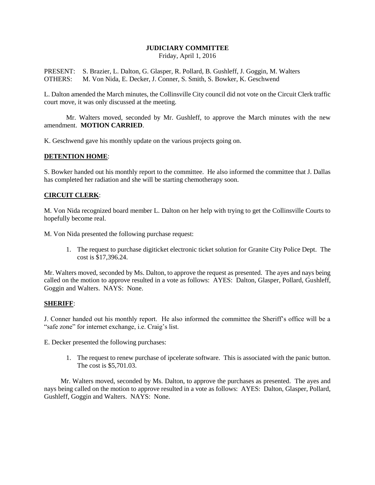# **JUDICIARY COMMITTEE**

Friday, April 1, 2016

PRESENT: S. Brazier, L. Dalton, G. Glasper, R. Pollard, B. Gushleff, J. Goggin, M. Walters OTHERS: M. Von Nida, E. Decker, J. Conner, S. Smith, S. Bowker, K. Geschwend

L. Dalton amended the March minutes, the Collinsville City council did not vote on the Circuit Clerk traffic court move, it was only discussed at the meeting.

Mr. Walters moved, seconded by Mr. Gushleff, to approve the March minutes with the new amendment. **MOTION CARRIED**.

K. Geschwend gave his monthly update on the various projects going on.

## **DETENTION HOME**:

S. Bowker handed out his monthly report to the committee. He also informed the committee that J. Dallas has completed her radiation and she will be starting chemotherapy soon.

### **CIRCUIT CLERK**:

M. Von Nida recognized board member L. Dalton on her help with trying to get the Collinsville Courts to hopefully become real.

M. Von Nida presented the following purchase request:

1. The request to purchase digiticket electronic ticket solution for Granite City Police Dept. The cost is \$17,396.24.

Mr. Walters moved, seconded by Ms. Dalton, to approve the request as presented. The ayes and nays being called on the motion to approve resulted in a vote as follows: AYES: Dalton, Glasper, Pollard, Gushleff, Goggin and Walters. NAYS: None.

#### **SHERIFF**:

J. Conner handed out his monthly report. He also informed the committee the Sheriff's office will be a "safe zone" for internet exchange, i.e. Craig's list.

E. Decker presented the following purchases:

1. The request to renew purchase of ipcelerate software. This is associated with the panic button. The cost is \$5,701.03.

Mr. Walters moved, seconded by Ms. Dalton, to approve the purchases as presented. The ayes and nays being called on the motion to approve resulted in a vote as follows: AYES: Dalton, Glasper, Pollard, Gushleff, Goggin and Walters. NAYS: None.